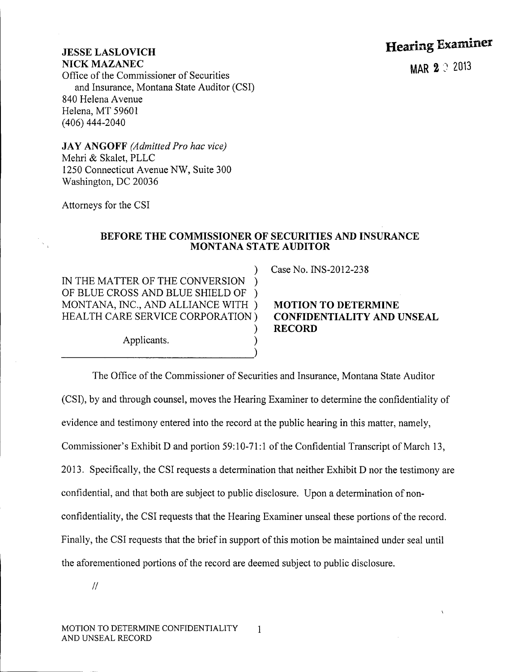## Hearing Examiner

## JESSE LASLOVICH NICK MAZANEC

Office of the Commissioner of Securities and Insurance, Montana State Auditor (CSI) 840 Helena Avenue Helena, MT 59601 (406) 444-2040

JA Y ANGOFF *(Admitted Pro hac vice)* Mehri & Skalet, PLLC 1250 Connecticut Avenue NW, Suite 300 Washington, DC 20036

Attorneys for the CSI

## BEFORE THE COMMISSIONER OF SECURITIES AND INSURANCE MONTANA STATE AUDITOR

)

) IN THE MATTER OF THE CONVERSION ) OF BLUE CROSS AND BLUE SHIELD OF ) MONTANA, INC., AND ALLIANCE WITH ) HEALTH CARE SERVICE CORPORATION)

Applicants. ) -----------)

Case No. INS-2012-238

MOTION TO DETERMINE CONFIDENTIALITY AND UNSEAL RECORD

The Office of the Commissioner of Securities and Insurance, Montana State Auditor (CSI), by and through counsel, moves the Hearing Examiner to determine the confidentiality of evidence and testimony entered into the record at the public hearing in this matter, namely, Commissioner's Exhibit D and portion 59: 10-71:1 of the Confidential Transcript of March 13, 2013. Specifically, the CSI requests a determination that neither Exhibit D nor the testimony are confidential, and that both are subject to public disclosure. Upon a determination of nonconfidentiality, the CSI requests that the Hearing Examiner unseal these portions of the record. Finally, the CSI requests that the brief in support of this motion be maintained under seal until the aforementioned portions of the record are deemed subject to public disclosure.

*II*

MAR 2 9 2013